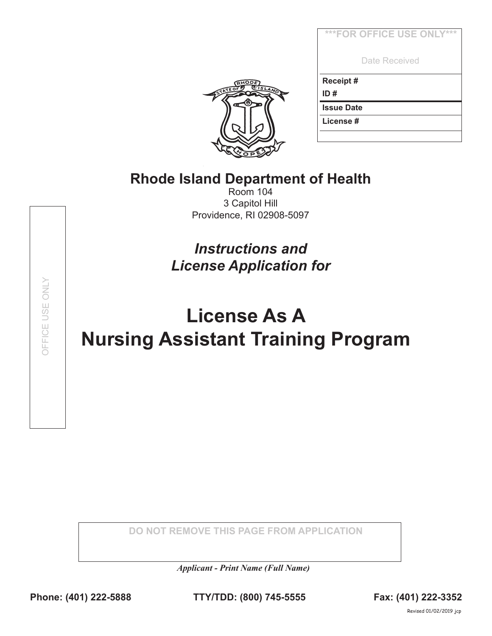| ***FOR OFFICE USE ONLY*** |
|---------------------------|
| Date Received             |
| Receipt#                  |
| ID#                       |
| <b>Issue Date</b>         |
| License#                  |
|                           |



## **Rhode Island Department of Health**

Room 104 3 Capitol Hill Providence, RI 02908-5097

*Instructions and License Application for* 

## **License As A Nursing Assistant Training Program**

**DO NOT REMOVE THIS PAGE FROM APPLICATION**

*Applicant - Print Name (Full Name)*

OFFICE USE ONLY OFFICE USE ONLY

**Phone: (401) 222-5888 TTY/TDD: (800) 745-5555 Fax: (401) 222-3352**

Revised 01/02/2019 jcp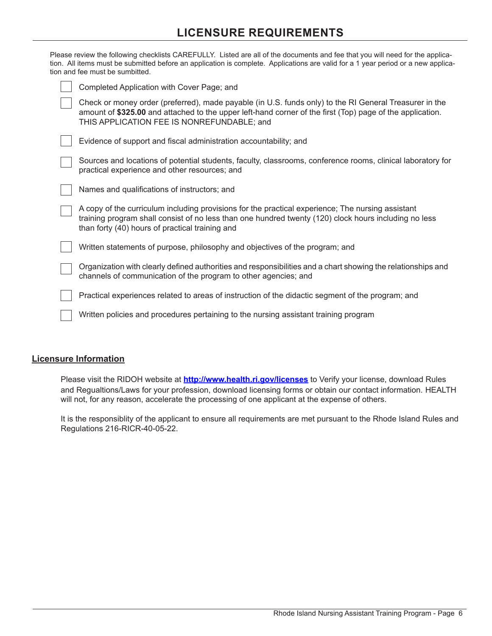## **LICENSURE REQUIREMENTS**

| Please review the following checklists CAREFULLY. Listed are all of the documents and fee that you will need for the applica-<br>tion. All items must be submitted before an application is complete. Applications are valid for a 1 year period or a new applica-<br>tion and fee must be sumbitted. |
|-------------------------------------------------------------------------------------------------------------------------------------------------------------------------------------------------------------------------------------------------------------------------------------------------------|
| Completed Application with Cover Page; and                                                                                                                                                                                                                                                            |
| Check or money order (preferred), made payable (in U.S. funds only) to the RI General Treasurer in the<br>amount of \$325.00 and attached to the upper left-hand corner of the first (Top) page of the application.<br>THIS APPLICATION FEE IS NONREFUNDABLE; and                                     |
| Evidence of support and fiscal administration accountability; and                                                                                                                                                                                                                                     |
| Sources and locations of potential students, faculty, classrooms, conference rooms, clinical laboratory for<br>practical experience and other resources; and                                                                                                                                          |
| Names and qualifications of instructors; and                                                                                                                                                                                                                                                          |
| A copy of the curriculum including provisions for the practical experience; The nursing assistant<br>training program shall consist of no less than one hundred twenty (120) clock hours including no less<br>than forty (40) hours of practical training and                                         |
| Written statements of purpose, philosophy and objectives of the program; and                                                                                                                                                                                                                          |
| Organization with clearly defined authorities and responsibilities and a chart showing the relationships and<br>channels of communication of the program to other agencies; and                                                                                                                       |
| Practical experiences related to areas of instruction of the didactic segment of the program; and                                                                                                                                                                                                     |
| Written policies and procedures pertaining to the nursing assistant training program                                                                                                                                                                                                                  |
|                                                                                                                                                                                                                                                                                                       |

## **Licensure Information**

Please visit the RIDOH website at **http://www.health.ri.gov/licenses** to Verify your license, download Rules and Regualtions/Laws for your profession, download licensing forms or obtain our contact information. HEALTH will not, for any reason, accelerate the processing of one applicant at the expense of others.

It is the responsiblity of the applicant to ensure all requirements are met pursuant to the Rhode Island Rules and Regulations 216-RICR-40-05-22.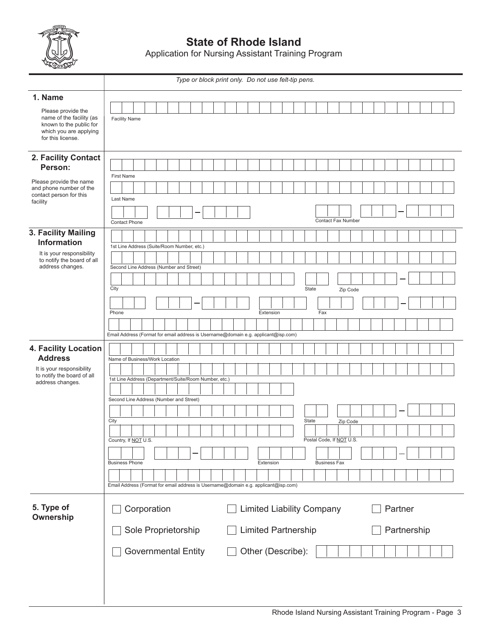

**State of Rhode Island**

Application for Nursing Assistant Training Program

|                                                                                                                          |                                                                                    |                                                       |  | Type or block print only. Do not use felt-tip pens. |  |  |           |                                  |  |       |     |                                                        |          |  |  |             |  |  |
|--------------------------------------------------------------------------------------------------------------------------|------------------------------------------------------------------------------------|-------------------------------------------------------|--|-----------------------------------------------------|--|--|-----------|----------------------------------|--|-------|-----|--------------------------------------------------------|----------|--|--|-------------|--|--|
| 1. Name                                                                                                                  |                                                                                    |                                                       |  |                                                     |  |  |           |                                  |  |       |     |                                                        |          |  |  |             |  |  |
| Please provide the<br>name of the facility (as<br>known to the public for<br>which you are applying<br>for this license. |                                                                                    | <b>Facility Name</b>                                  |  |                                                     |  |  |           |                                  |  |       |     |                                                        |          |  |  |             |  |  |
| 2. Facility Contact<br>Person:                                                                                           |                                                                                    |                                                       |  |                                                     |  |  |           |                                  |  |       |     |                                                        |          |  |  |             |  |  |
| Please provide the name<br>and phone number of the<br>contact person for this<br>facility                                | <b>First Name</b><br>Last Name                                                     |                                                       |  |                                                     |  |  |           |                                  |  |       |     |                                                        |          |  |  |             |  |  |
|                                                                                                                          |                                                                                    | <b>Contact Phone</b>                                  |  |                                                     |  |  |           |                                  |  |       |     | <b>Contact Fax Number</b>                              |          |  |  |             |  |  |
| 3. Facility Mailing<br><b>Information</b>                                                                                |                                                                                    | 1st Line Address (Suite/Room Number, etc.)            |  |                                                     |  |  |           |                                  |  |       |     |                                                        |          |  |  |             |  |  |
| It is your responsibility<br>to notify the board of all<br>address changes.                                              |                                                                                    |                                                       |  |                                                     |  |  |           |                                  |  |       |     |                                                        |          |  |  |             |  |  |
|                                                                                                                          |                                                                                    | Second Line Address (Number and Street)               |  |                                                     |  |  |           |                                  |  |       |     |                                                        |          |  |  |             |  |  |
|                                                                                                                          | City                                                                               |                                                       |  |                                                     |  |  |           |                                  |  | State |     |                                                        | Zip Code |  |  |             |  |  |
|                                                                                                                          | Phone                                                                              |                                                       |  |                                                     |  |  | Extension |                                  |  |       | Fax |                                                        |          |  |  |             |  |  |
|                                                                                                                          | Email Address (Format for email address is Username@domain e.g. applicant@isp.com) |                                                       |  |                                                     |  |  |           |                                  |  |       |     |                                                        |          |  |  |             |  |  |
| 4. Facility Location<br><b>Address</b>                                                                                   |                                                                                    | Name of Business/Work Location                        |  |                                                     |  |  |           |                                  |  |       |     |                                                        |          |  |  |             |  |  |
| It is your responsibility<br>to notify the board of all<br>address changes.                                              |                                                                                    | 1st Line Address (Department/Suite/Room Number, etc.) |  |                                                     |  |  |           |                                  |  |       |     |                                                        |          |  |  |             |  |  |
|                                                                                                                          |                                                                                    | Second Line Address (Number and Street)               |  |                                                     |  |  |           |                                  |  |       |     |                                                        |          |  |  |             |  |  |
|                                                                                                                          | City                                                                               |                                                       |  |                                                     |  |  |           |                                  |  | State |     |                                                        | Zip Code |  |  |             |  |  |
|                                                                                                                          |                                                                                    | Country, If NOT U.S.                                  |  |                                                     |  |  |           |                                  |  |       |     | $\sim$ 1 $\sim$ 1 $\sim$ 1<br>Postal Code, If NOT U.S. |          |  |  |             |  |  |
|                                                                                                                          |                                                                                    | <b>Business Phone</b>                                 |  |                                                     |  |  | Extension |                                  |  |       |     | <b>Business Fax</b>                                    |          |  |  |             |  |  |
|                                                                                                                          | Email Address (Format for email address is Username@domain e.g. applicant@isp.com) |                                                       |  |                                                     |  |  |           |                                  |  |       |     |                                                        |          |  |  |             |  |  |
|                                                                                                                          |                                                                                    |                                                       |  |                                                     |  |  |           |                                  |  |       |     |                                                        |          |  |  |             |  |  |
| 5. Type of<br>Ownership                                                                                                  |                                                                                    | Corporation                                           |  |                                                     |  |  |           | <b>Limited Liability Company</b> |  |       |     |                                                        |          |  |  | Partner     |  |  |
|                                                                                                                          |                                                                                    | Sole Proprietorship                                   |  |                                                     |  |  |           | <b>Limited Partnership</b>       |  |       |     |                                                        |          |  |  | Partnership |  |  |
|                                                                                                                          |                                                                                    | <b>Governmental Entity</b>                            |  |                                                     |  |  |           | Other (Describe):                |  |       |     |                                                        |          |  |  |             |  |  |
|                                                                                                                          |                                                                                    |                                                       |  |                                                     |  |  |           |                                  |  |       |     |                                                        |          |  |  |             |  |  |
|                                                                                                                          |                                                                                    |                                                       |  |                                                     |  |  |           |                                  |  |       |     |                                                        |          |  |  |             |  |  |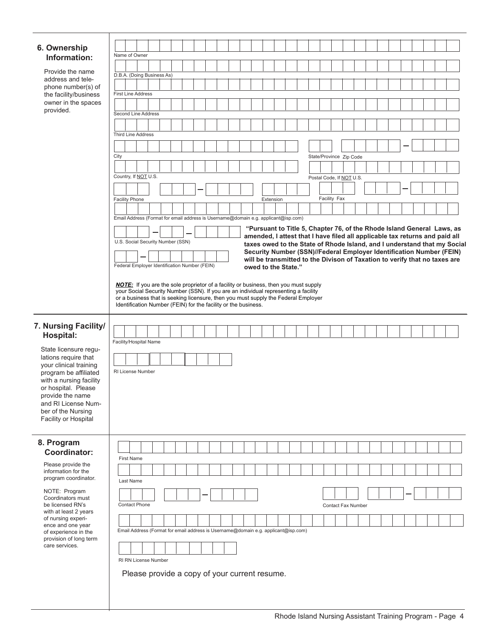| 6. Ownership                                   |                                                                                                                                                                                    |  |  |  |  |  |  |  |  |  |                     |  |  |                          |              |  |                    |  |  |  |                                                                                                                                                    |  |
|------------------------------------------------|------------------------------------------------------------------------------------------------------------------------------------------------------------------------------------|--|--|--|--|--|--|--|--|--|---------------------|--|--|--------------------------|--------------|--|--------------------|--|--|--|----------------------------------------------------------------------------------------------------------------------------------------------------|--|
| Information:<br>Provide the name               | Name of Owner                                                                                                                                                                      |  |  |  |  |  |  |  |  |  |                     |  |  |                          |              |  |                    |  |  |  |                                                                                                                                                    |  |
|                                                |                                                                                                                                                                                    |  |  |  |  |  |  |  |  |  |                     |  |  |                          |              |  |                    |  |  |  |                                                                                                                                                    |  |
| address and tele-                              | D.B.A. (Doing Business As)                                                                                                                                                         |  |  |  |  |  |  |  |  |  |                     |  |  |                          |              |  |                    |  |  |  |                                                                                                                                                    |  |
| phone number(s) of<br>the facility/business    | <b>First Line Address</b>                                                                                                                                                          |  |  |  |  |  |  |  |  |  |                     |  |  |                          |              |  |                    |  |  |  |                                                                                                                                                    |  |
| owner in the spaces                            |                                                                                                                                                                                    |  |  |  |  |  |  |  |  |  |                     |  |  |                          |              |  |                    |  |  |  |                                                                                                                                                    |  |
| provided.                                      | Second Line Address                                                                                                                                                                |  |  |  |  |  |  |  |  |  |                     |  |  |                          |              |  |                    |  |  |  |                                                                                                                                                    |  |
|                                                |                                                                                                                                                                                    |  |  |  |  |  |  |  |  |  |                     |  |  |                          |              |  |                    |  |  |  |                                                                                                                                                    |  |
|                                                | <b>Third Line Address</b>                                                                                                                                                          |  |  |  |  |  |  |  |  |  |                     |  |  |                          |              |  |                    |  |  |  |                                                                                                                                                    |  |
|                                                |                                                                                                                                                                                    |  |  |  |  |  |  |  |  |  |                     |  |  |                          |              |  |                    |  |  |  |                                                                                                                                                    |  |
|                                                | City                                                                                                                                                                               |  |  |  |  |  |  |  |  |  |                     |  |  | State/Province Zip Code  |              |  |                    |  |  |  |                                                                                                                                                    |  |
|                                                |                                                                                                                                                                                    |  |  |  |  |  |  |  |  |  |                     |  |  |                          |              |  |                    |  |  |  |                                                                                                                                                    |  |
|                                                | Country, If NOT U.S.                                                                                                                                                               |  |  |  |  |  |  |  |  |  |                     |  |  | Postal Code, If NOT U.S. |              |  |                    |  |  |  |                                                                                                                                                    |  |
|                                                |                                                                                                                                                                                    |  |  |  |  |  |  |  |  |  |                     |  |  |                          |              |  |                    |  |  |  |                                                                                                                                                    |  |
|                                                | <b>Facility Phone</b>                                                                                                                                                              |  |  |  |  |  |  |  |  |  | Extension           |  |  |                          | Facility Fax |  |                    |  |  |  |                                                                                                                                                    |  |
|                                                |                                                                                                                                                                                    |  |  |  |  |  |  |  |  |  |                     |  |  |                          |              |  |                    |  |  |  |                                                                                                                                                    |  |
|                                                | Email Address (Format for email address is Username@domain e.g. applicant@isp.com)                                                                                                 |  |  |  |  |  |  |  |  |  |                     |  |  |                          |              |  |                    |  |  |  |                                                                                                                                                    |  |
|                                                |                                                                                                                                                                                    |  |  |  |  |  |  |  |  |  |                     |  |  |                          |              |  |                    |  |  |  | "Pursuant to Title 5, Chapter 76, of the Rhode Island General Laws, as                                                                             |  |
|                                                |                                                                                                                                                                                    |  |  |  |  |  |  |  |  |  |                     |  |  |                          |              |  |                    |  |  |  | amended, I attest that I have filed all applicable tax returns and paid all                                                                        |  |
|                                                | U.S. Social Security Number (SSN)                                                                                                                                                  |  |  |  |  |  |  |  |  |  |                     |  |  |                          |              |  |                    |  |  |  | taxes owed to the State of Rhode Island, and I understand that my Social                                                                           |  |
|                                                |                                                                                                                                                                                    |  |  |  |  |  |  |  |  |  |                     |  |  |                          |              |  |                    |  |  |  | Security Number (SSN)//Federal Employer Identification Number (FEIN)<br>will be transmitted to the Divison of Taxation to verify that no taxes are |  |
|                                                | Federal Employer Identification Number (FEIN)                                                                                                                                      |  |  |  |  |  |  |  |  |  | owed to the State." |  |  |                          |              |  |                    |  |  |  |                                                                                                                                                    |  |
|                                                |                                                                                                                                                                                    |  |  |  |  |  |  |  |  |  |                     |  |  |                          |              |  |                    |  |  |  |                                                                                                                                                    |  |
|                                                | <b>NOTE:</b> If you are the sole proprietor of a facility or business, then you must supply<br>your Social Security Number (SSN). If you are an individual representing a facility |  |  |  |  |  |  |  |  |  |                     |  |  |                          |              |  |                    |  |  |  |                                                                                                                                                    |  |
|                                                | or a business that is seeking licensure, then you must supply the Federal Employer                                                                                                 |  |  |  |  |  |  |  |  |  |                     |  |  |                          |              |  |                    |  |  |  |                                                                                                                                                    |  |
|                                                | Identification Number (FEIN) for the facility or the business.                                                                                                                     |  |  |  |  |  |  |  |  |  |                     |  |  |                          |              |  |                    |  |  |  |                                                                                                                                                    |  |
|                                                |                                                                                                                                                                                    |  |  |  |  |  |  |  |  |  |                     |  |  |                          |              |  |                    |  |  |  |                                                                                                                                                    |  |
| 7. Nursing Facility/<br>Hospital:              |                                                                                                                                                                                    |  |  |  |  |  |  |  |  |  |                     |  |  |                          |              |  |                    |  |  |  |                                                                                                                                                    |  |
|                                                | Facility/Hospital Name                                                                                                                                                             |  |  |  |  |  |  |  |  |  |                     |  |  |                          |              |  |                    |  |  |  |                                                                                                                                                    |  |
| State licensure regu-<br>lations require that  |                                                                                                                                                                                    |  |  |  |  |  |  |  |  |  |                     |  |  |                          |              |  |                    |  |  |  |                                                                                                                                                    |  |
| your clinical training                         |                                                                                                                                                                                    |  |  |  |  |  |  |  |  |  |                     |  |  |                          |              |  |                    |  |  |  |                                                                                                                                                    |  |
| program be affiliated                          | RI License Number                                                                                                                                                                  |  |  |  |  |  |  |  |  |  |                     |  |  |                          |              |  |                    |  |  |  |                                                                                                                                                    |  |
| with a nursing facility<br>or hospital. Please |                                                                                                                                                                                    |  |  |  |  |  |  |  |  |  |                     |  |  |                          |              |  |                    |  |  |  |                                                                                                                                                    |  |
| provide the name                               |                                                                                                                                                                                    |  |  |  |  |  |  |  |  |  |                     |  |  |                          |              |  |                    |  |  |  |                                                                                                                                                    |  |
| and RI License Num-                            |                                                                                                                                                                                    |  |  |  |  |  |  |  |  |  |                     |  |  |                          |              |  |                    |  |  |  |                                                                                                                                                    |  |
| ber of the Nursing                             |                                                                                                                                                                                    |  |  |  |  |  |  |  |  |  |                     |  |  |                          |              |  |                    |  |  |  |                                                                                                                                                    |  |
|                                                |                                                                                                                                                                                    |  |  |  |  |  |  |  |  |  |                     |  |  |                          |              |  |                    |  |  |  |                                                                                                                                                    |  |
| Facility or Hospital                           |                                                                                                                                                                                    |  |  |  |  |  |  |  |  |  |                     |  |  |                          |              |  |                    |  |  |  |                                                                                                                                                    |  |
|                                                |                                                                                                                                                                                    |  |  |  |  |  |  |  |  |  |                     |  |  |                          |              |  |                    |  |  |  |                                                                                                                                                    |  |
| 8. Program                                     |                                                                                                                                                                                    |  |  |  |  |  |  |  |  |  |                     |  |  |                          |              |  |                    |  |  |  |                                                                                                                                                    |  |
| Coordinator:                                   | <b>First Name</b>                                                                                                                                                                  |  |  |  |  |  |  |  |  |  |                     |  |  |                          |              |  |                    |  |  |  |                                                                                                                                                    |  |
| Please provide the                             |                                                                                                                                                                                    |  |  |  |  |  |  |  |  |  |                     |  |  |                          |              |  |                    |  |  |  |                                                                                                                                                    |  |
| information for the<br>program coordinator.    |                                                                                                                                                                                    |  |  |  |  |  |  |  |  |  |                     |  |  |                          |              |  |                    |  |  |  |                                                                                                                                                    |  |
|                                                | Last Name                                                                                                                                                                          |  |  |  |  |  |  |  |  |  |                     |  |  |                          |              |  |                    |  |  |  |                                                                                                                                                    |  |
| NOTE: Program<br>Coordinators must             |                                                                                                                                                                                    |  |  |  |  |  |  |  |  |  |                     |  |  |                          |              |  |                    |  |  |  |                                                                                                                                                    |  |
| be licensed RN's                               | <b>Contact Phone</b>                                                                                                                                                               |  |  |  |  |  |  |  |  |  |                     |  |  |                          |              |  | Contact Fax Number |  |  |  |                                                                                                                                                    |  |
| with at least 2 years<br>of nursing experi-    |                                                                                                                                                                                    |  |  |  |  |  |  |  |  |  |                     |  |  |                          |              |  |                    |  |  |  |                                                                                                                                                    |  |
| ence and one year                              |                                                                                                                                                                                    |  |  |  |  |  |  |  |  |  |                     |  |  |                          |              |  |                    |  |  |  |                                                                                                                                                    |  |
| of experience in the<br>provision of long term | Email Address (Format for email address is Username@domain e.g. applicant@isp.com)                                                                                                 |  |  |  |  |  |  |  |  |  |                     |  |  |                          |              |  |                    |  |  |  |                                                                                                                                                    |  |
| care services.                                 |                                                                                                                                                                                    |  |  |  |  |  |  |  |  |  |                     |  |  |                          |              |  |                    |  |  |  |                                                                                                                                                    |  |
|                                                | RI RN License Number                                                                                                                                                               |  |  |  |  |  |  |  |  |  |                     |  |  |                          |              |  |                    |  |  |  |                                                                                                                                                    |  |
|                                                |                                                                                                                                                                                    |  |  |  |  |  |  |  |  |  |                     |  |  |                          |              |  |                    |  |  |  |                                                                                                                                                    |  |
|                                                | Please provide a copy of your current resume.                                                                                                                                      |  |  |  |  |  |  |  |  |  |                     |  |  |                          |              |  |                    |  |  |  |                                                                                                                                                    |  |